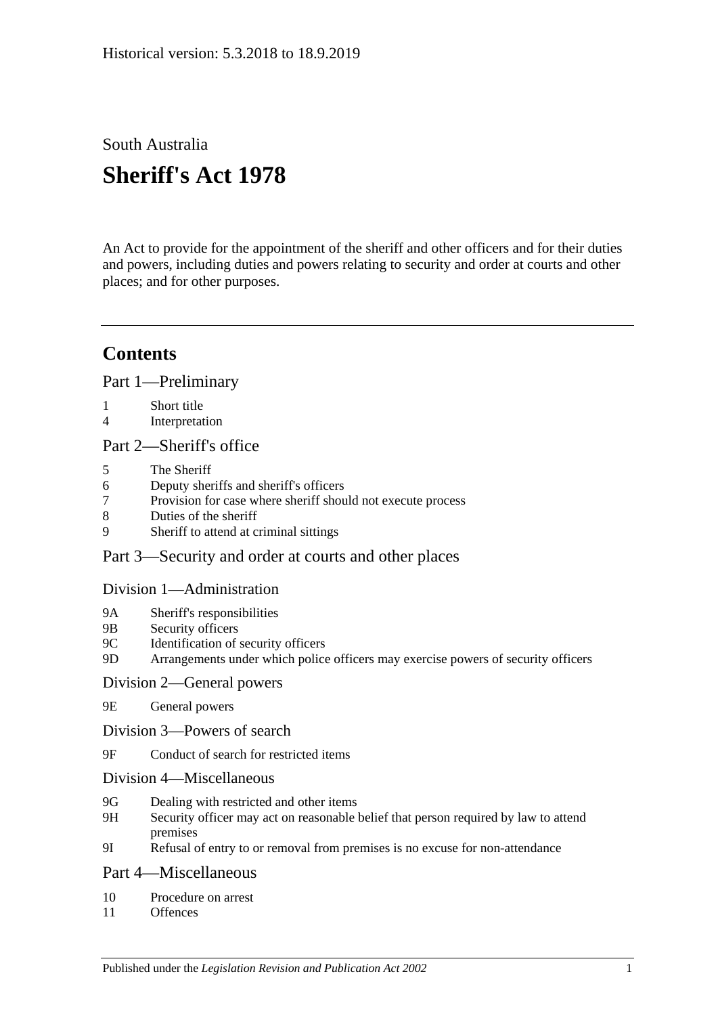# South Australia

# **Sheriff's Act 1978**

An Act to provide for the appointment of the sheriff and other officers and for their duties and powers, including duties and powers relating to security and order at courts and other places; and for other purposes.

# **Contents**

[Part 1—Preliminary](#page-1-0)

- 1 [Short title](#page-1-1)
- 4 [Interpretation](#page-1-2)

#### [Part 2—Sheriff's office](#page-2-0)

- 5 [The Sheriff](#page-2-1)
- 6 [Deputy sheriffs and sheriff's officers](#page-3-0)
- 7 Provision for case [where sheriff should not execute process](#page-3-1)
- 8 [Duties of the sheriff](#page-3-2)
- 9 [Sheriff to attend at criminal sittings](#page-4-0)

### [Part 3—Security and order at courts and other places](#page-4-1)

#### [Division 1—Administration](#page-4-2)

- 9A [Sheriff's responsibilities](#page-4-3)
- 9B [Security officers](#page-4-4)
- 9C [Identification of security officers](#page-4-5)
- 9D [Arrangements under which police officers may exercise powers of security officers](#page-5-0)

#### [Division 2—General powers](#page-5-1)

- 9E [General powers](#page-5-2)
- [Division 3—Powers of search](#page-6-0)
- 9F [Conduct of search for restricted items](#page-6-1)
- [Division 4—Miscellaneous](#page-8-0)
- 9G [Dealing with restricted and other items](#page-8-1)
- 9H [Security officer may act on reasonable belief that person required by law to attend](#page-9-0)  [premises](#page-9-0)
- 9I [Refusal of entry to or removal from premises is no excuse for non-attendance](#page-9-1)

#### [Part 4—Miscellaneous](#page-9-2)

- 10 [Procedure on arrest](#page-9-3)
- 11 [Offences](#page-10-0)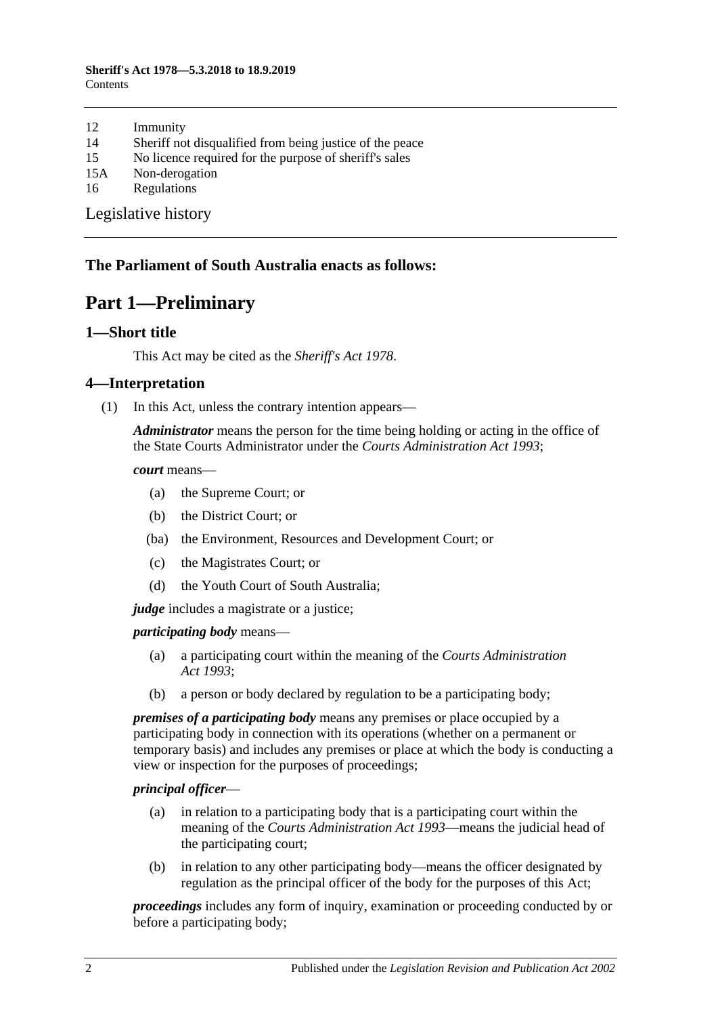#### **Sheriff's Act 1978—5.3.2018 to 18.9.2019** Contents

- 12 [Immunity](#page-10-1)
- 14 [Sheriff not disqualified from being justice of the peace](#page-10-2)
- 15 [No licence required for the purpose of sheriff's sales](#page-10-3)
- 15A [Non-derogation](#page-10-4)
- 16 [Regulations](#page-10-5)

[Legislative history](#page-12-0)

#### <span id="page-1-0"></span>**The Parliament of South Australia enacts as follows:**

# **Part 1—Preliminary**

#### <span id="page-1-1"></span>**1—Short title**

This Act may be cited as the *Sheriff's Act 1978*.

#### <span id="page-1-2"></span>**4—Interpretation**

(1) In this Act, unless the contrary intention appears—

*Administrator* means the person for the time being holding or acting in the office of the State Courts Administrator under the *[Courts Administration Act](http://www.legislation.sa.gov.au/index.aspx?action=legref&type=act&legtitle=Courts%20Administration%20Act%201993) 1993*;

*court* means—

- (a) the Supreme Court; or
- (b) the District Court; or
- (ba) the Environment, Resources and Development Court; or
- (c) the Magistrates Court; or
- (d) the Youth Court of South Australia;

*judge* includes a magistrate or a justice;

*participating body* means—

- (a) a participating court within the meaning of the *[Courts Administration](http://www.legislation.sa.gov.au/index.aspx?action=legref&type=act&legtitle=Courts%20Administration%20Act%201993)  Act [1993](http://www.legislation.sa.gov.au/index.aspx?action=legref&type=act&legtitle=Courts%20Administration%20Act%201993)*;
- (b) a person or body declared by regulation to be a participating body;

*premises of a participating body* means any premises or place occupied by a participating body in connection with its operations (whether on a permanent or temporary basis) and includes any premises or place at which the body is conducting a view or inspection for the purposes of proceedings;

#### *principal officer*—

- (a) in relation to a participating body that is a participating court within the meaning of the *[Courts Administration Act](http://www.legislation.sa.gov.au/index.aspx?action=legref&type=act&legtitle=Courts%20Administration%20Act%201993) 1993*—means the judicial head of the participating court;
- (b) in relation to any other participating body—means the officer designated by regulation as the principal officer of the body for the purposes of this Act;

*proceedings* includes any form of inquiry, examination or proceeding conducted by or before a participating body;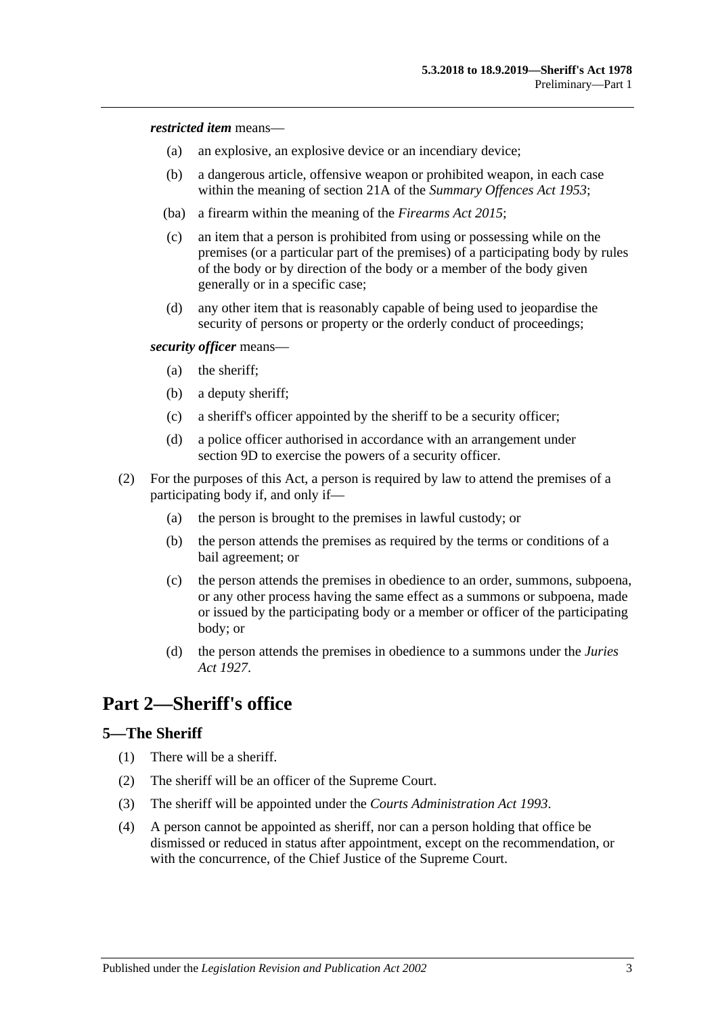*restricted item* means—

- (a) an explosive, an explosive device or an incendiary device;
- (b) a dangerous article, offensive weapon or prohibited weapon, in each case within the meaning of section 21A of the *[Summary Offences Act](http://www.legislation.sa.gov.au/index.aspx?action=legref&type=act&legtitle=Summary%20Offences%20Act%201953) 1953*;
- (ba) a firearm within the meaning of the *[Firearms Act](http://www.legislation.sa.gov.au/index.aspx?action=legref&type=act&legtitle=Firearms%20Act%202015) 2015*;
- (c) an item that a person is prohibited from using or possessing while on the premises (or a particular part of the premises) of a participating body by rules of the body or by direction of the body or a member of the body given generally or in a specific case;
- (d) any other item that is reasonably capable of being used to jeopardise the security of persons or property or the orderly conduct of proceedings;

*security officer* means—

- (a) the sheriff;
- (b) a deputy sheriff;
- (c) a sheriff's officer appointed by the sheriff to be a security officer;
- (d) a police officer authorised in accordance with an arrangement under [section](#page-5-0) 9D to exercise the powers of a security officer.
- (2) For the purposes of this Act, a person is required by law to attend the premises of a participating body if, and only if—
	- (a) the person is brought to the premises in lawful custody; or
	- (b) the person attends the premises as required by the terms or conditions of a bail agreement; or
	- (c) the person attends the premises in obedience to an order, summons, subpoena, or any other process having the same effect as a summons or subpoena, made or issued by the participating body or a member or officer of the participating body; or
	- (d) the person attends the premises in obedience to a summons under the *[Juries](http://www.legislation.sa.gov.au/index.aspx?action=legref&type=act&legtitle=Juries%20Act%201927)  Act [1927](http://www.legislation.sa.gov.au/index.aspx?action=legref&type=act&legtitle=Juries%20Act%201927)*.

# <span id="page-2-0"></span>**Part 2—Sheriff's office**

#### <span id="page-2-1"></span>**5—The Sheriff**

- (1) There will be a sheriff.
- (2) The sheriff will be an officer of the Supreme Court.
- (3) The sheriff will be appointed under the *[Courts Administration Act](http://www.legislation.sa.gov.au/index.aspx?action=legref&type=act&legtitle=Courts%20Administration%20Act%201993) 1993*.
- (4) A person cannot be appointed as sheriff, nor can a person holding that office be dismissed or reduced in status after appointment, except on the recommendation, or with the concurrence, of the Chief Justice of the Supreme Court.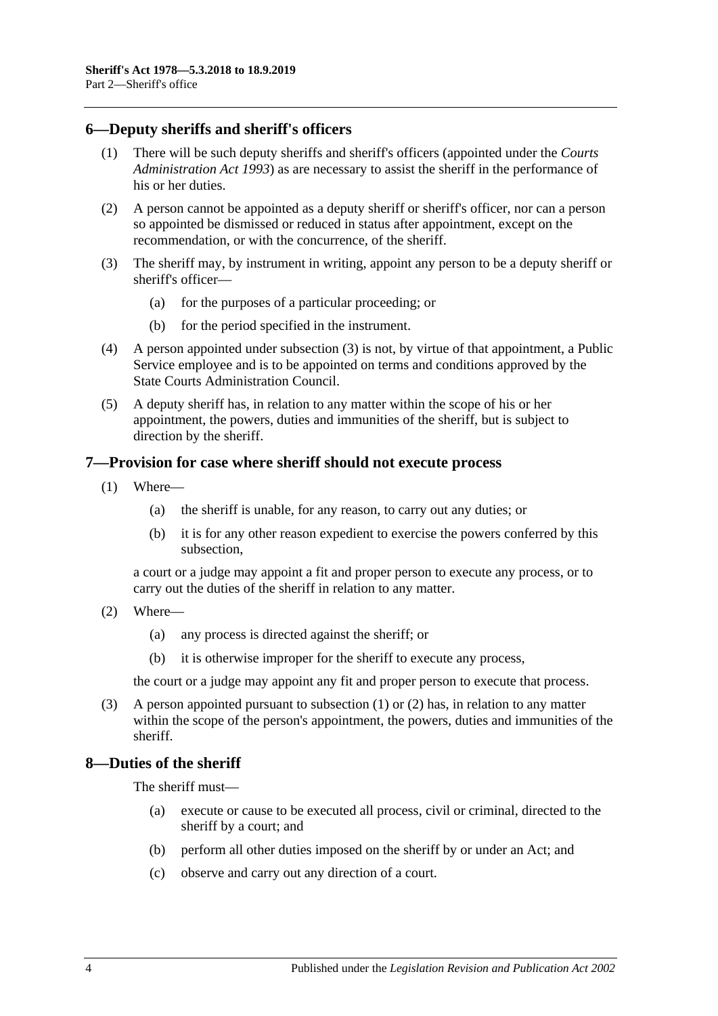#### <span id="page-3-0"></span>**6—Deputy sheriffs and sheriff's officers**

- (1) There will be such deputy sheriffs and sheriff's officers (appointed under the *[Courts](http://www.legislation.sa.gov.au/index.aspx?action=legref&type=act&legtitle=Courts%20Administration%20Act%201993)  [Administration Act](http://www.legislation.sa.gov.au/index.aspx?action=legref&type=act&legtitle=Courts%20Administration%20Act%201993) 1993*) as are necessary to assist the sheriff in the performance of his or her duties.
- (2) A person cannot be appointed as a deputy sheriff or sheriff's officer, nor can a person so appointed be dismissed or reduced in status after appointment, except on the recommendation, or with the concurrence, of the sheriff.
- <span id="page-3-3"></span>(3) The sheriff may, by instrument in writing, appoint any person to be a deputy sheriff or sheriff's officer—
	- (a) for the purposes of a particular proceeding; or
	- (b) for the period specified in the instrument.
- (4) A person appointed under [subsection](#page-3-3) (3) is not, by virtue of that appointment, a Public Service employee and is to be appointed on terms and conditions approved by the State Courts Administration Council.
- (5) A deputy sheriff has, in relation to any matter within the scope of his or her appointment, the powers, duties and immunities of the sheriff, but is subject to direction by the sheriff.

#### <span id="page-3-4"></span><span id="page-3-1"></span>**7—Provision for case where sheriff should not execute process**

- (1) Where—
	- (a) the sheriff is unable, for any reason, to carry out any duties; or
	- (b) it is for any other reason expedient to exercise the powers conferred by this subsection,

a court or a judge may appoint a fit and proper person to execute any process, or to carry out the duties of the sheriff in relation to any matter.

- <span id="page-3-5"></span>(2) Where—
	- (a) any process is directed against the sheriff; or
	- (b) it is otherwise improper for the sheriff to execute any process,

the court or a judge may appoint any fit and proper person to execute that process.

(3) A person appointed pursuant to [subsection](#page-3-4) (1) or [\(2\)](#page-3-5) has, in relation to any matter within the scope of the person's appointment, the powers, duties and immunities of the sheriff.

#### <span id="page-3-2"></span>**8—Duties of the sheriff**

The sheriff must—

- (a) execute or cause to be executed all process, civil or criminal, directed to the sheriff by a court; and
- (b) perform all other duties imposed on the sheriff by or under an Act; and
- (c) observe and carry out any direction of a court.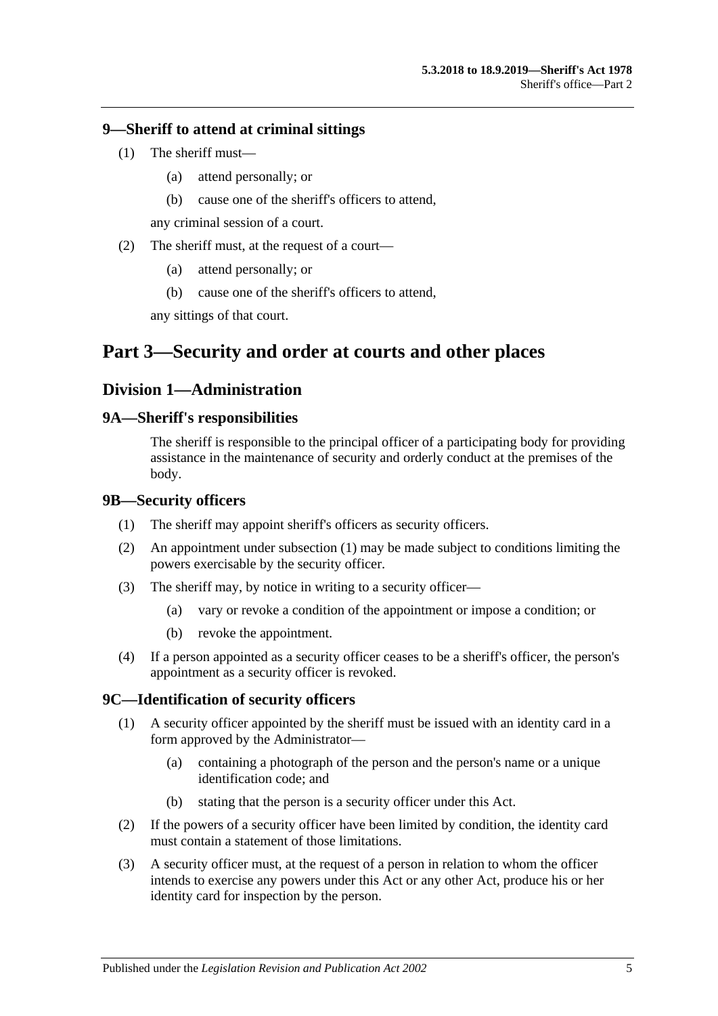#### <span id="page-4-0"></span>**9—Sheriff to attend at criminal sittings**

- (1) The sheriff must—
	- (a) attend personally; or
	- (b) cause one of the sheriff's officers to attend,

any criminal session of a court.

- (2) The sheriff must, at the request of a court—
	- (a) attend personally; or
	- (b) cause one of the sheriff's officers to attend,

any sittings of that court.

# <span id="page-4-2"></span><span id="page-4-1"></span>**Part 3—Security and order at courts and other places**

#### **Division 1—Administration**

#### <span id="page-4-3"></span>**9A—Sheriff's responsibilities**

The sheriff is responsible to the principal officer of a participating body for providing assistance in the maintenance of security and orderly conduct at the premises of the body.

#### <span id="page-4-6"></span><span id="page-4-4"></span>**9B—Security officers**

- (1) The sheriff may appoint sheriff's officers as security officers.
- (2) An appointment under [subsection](#page-4-6) (1) may be made subject to conditions limiting the powers exercisable by the security officer.
- (3) The sheriff may, by notice in writing to a security officer—
	- (a) vary or revoke a condition of the appointment or impose a condition; or
	- (b) revoke the appointment.
- (4) If a person appointed as a security officer ceases to be a sheriff's officer, the person's appointment as a security officer is revoked.

#### <span id="page-4-5"></span>**9C—Identification of security officers**

- (1) A security officer appointed by the sheriff must be issued with an identity card in a form approved by the Administrator—
	- (a) containing a photograph of the person and the person's name or a unique identification code; and
	- (b) stating that the person is a security officer under this Act.
- (2) If the powers of a security officer have been limited by condition, the identity card must contain a statement of those limitations.
- (3) A security officer must, at the request of a person in relation to whom the officer intends to exercise any powers under this Act or any other Act, produce his or her identity card for inspection by the person.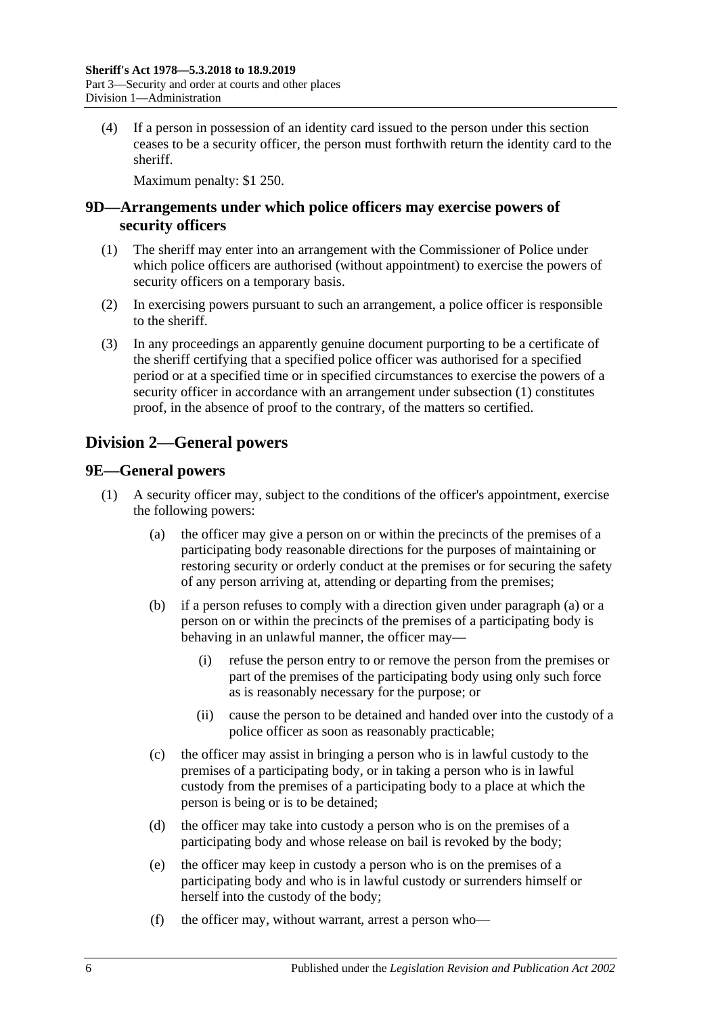(4) If a person in possession of an identity card issued to the person under this section ceases to be a security officer, the person must forthwith return the identity card to the sheriff.

Maximum penalty: \$1 250.

#### <span id="page-5-0"></span>**9D—Arrangements under which police officers may exercise powers of security officers**

- <span id="page-5-3"></span>(1) The sheriff may enter into an arrangement with the Commissioner of Police under which police officers are authorised (without appointment) to exercise the powers of security officers on a temporary basis.
- (2) In exercising powers pursuant to such an arrangement, a police officer is responsible to the sheriff.
- (3) In any proceedings an apparently genuine document purporting to be a certificate of the sheriff certifying that a specified police officer was authorised for a specified period or at a specified time or in specified circumstances to exercise the powers of a security officer in accordance with an arrangement under [subsection](#page-5-3) (1) constitutes proof, in the absence of proof to the contrary, of the matters so certified.

# <span id="page-5-1"></span>**Division 2—General powers**

#### <span id="page-5-2"></span>**9E—General powers**

- <span id="page-5-4"></span>(1) A security officer may, subject to the conditions of the officer's appointment, exercise the following powers:
	- (a) the officer may give a person on or within the precincts of the premises of a participating body reasonable directions for the purposes of maintaining or restoring security or orderly conduct at the premises or for securing the safety of any person arriving at, attending or departing from the premises;
	- (b) if a person refuses to comply with a direction given under [paragraph](#page-5-4) (a) or a person on or within the precincts of the premises of a participating body is behaving in an unlawful manner, the officer may—
		- (i) refuse the person entry to or remove the person from the premises or part of the premises of the participating body using only such force as is reasonably necessary for the purpose; or
		- (ii) cause the person to be detained and handed over into the custody of a police officer as soon as reasonably practicable;
	- (c) the officer may assist in bringing a person who is in lawful custody to the premises of a participating body, or in taking a person who is in lawful custody from the premises of a participating body to a place at which the person is being or is to be detained;
	- (d) the officer may take into custody a person who is on the premises of a participating body and whose release on bail is revoked by the body;
	- (e) the officer may keep in custody a person who is on the premises of a participating body and who is in lawful custody or surrenders himself or herself into the custody of the body;
	- (f) the officer may, without warrant, arrest a person who—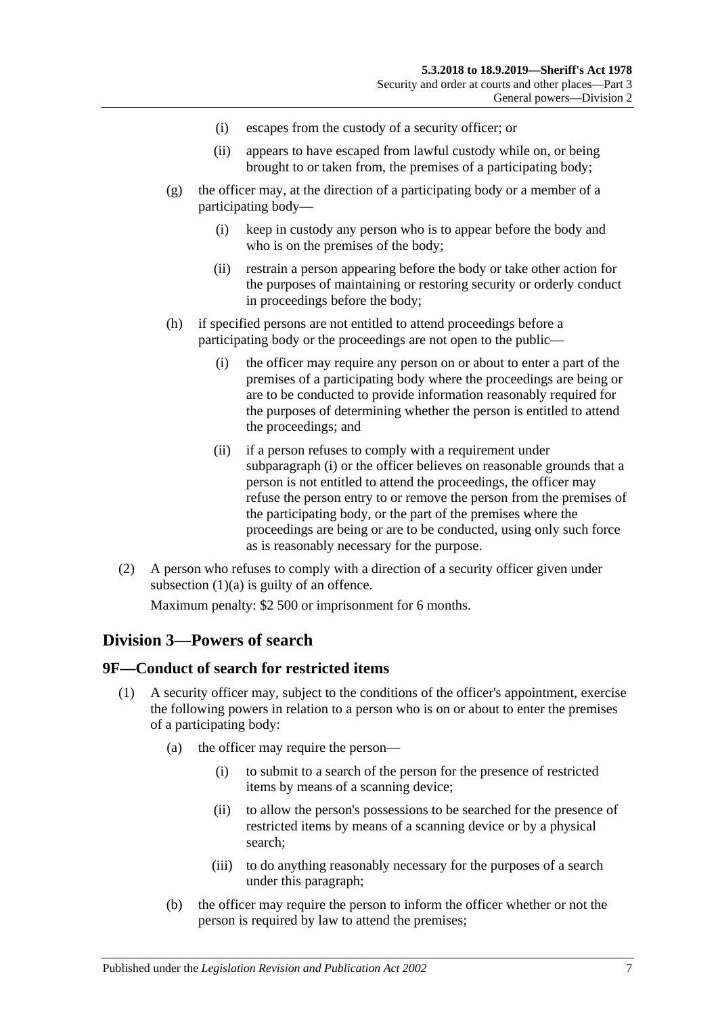- (i) escapes from the custody of a security officer; or
- (ii) appears to have escaped from lawful custody while on, or being brought to or taken from, the premises of a participating body;
- (g) the officer may, at the direction of a participating body or a member of a participating body—
	- (i) keep in custody any person who is to appear before the body and who is on the premises of the body;
	- (ii) restrain a person appearing before the body or take other action for the purposes of maintaining or restoring security or orderly conduct in proceedings before the body;
- <span id="page-6-2"></span>(h) if specified persons are not entitled to attend proceedings before a participating body or the proceedings are not open to the public—
	- (i) the officer may require any person on or about to enter a part of the premises of a participating body where the proceedings are being or are to be conducted to provide information reasonably required for the purposes of determining whether the person is entitled to attend the proceedings; and
	- (ii) if a person refuses to comply with a requirement under [subparagraph](#page-6-2) (i) or the officer believes on reasonable grounds that a person is not entitled to attend the proceedings, the officer may refuse the person entry to or remove the person from the premises of the participating body, or the part of the premises where the proceedings are being or are to be conducted, using only such force as is reasonably necessary for the purpose.
- (2) A person who refuses to comply with a direction of a security officer given under [subsection](#page-5-4)  $(1)(a)$  is guilty of an offence.

Maximum penalty: \$2 500 or imprisonment for 6 months.

#### <span id="page-6-0"></span>**Division 3—Powers of search**

#### <span id="page-6-4"></span><span id="page-6-1"></span>**9F—Conduct of search for restricted items**

- <span id="page-6-6"></span><span id="page-6-5"></span><span id="page-6-3"></span>(1) A security officer may, subject to the conditions of the officer's appointment, exercise the following powers in relation to a person who is on or about to enter the premises of a participating body:
	- (a) the officer may require the person—
		- (i) to submit to a search of the person for the presence of restricted items by means of a scanning device;
		- (ii) to allow the person's possessions to be searched for the presence of restricted items by means of a scanning device or by a physical search;
		- (iii) to do anything reasonably necessary for the purposes of a search under this paragraph;
	- (b) the officer may require the person to inform the officer whether or not the person is required by law to attend the premises;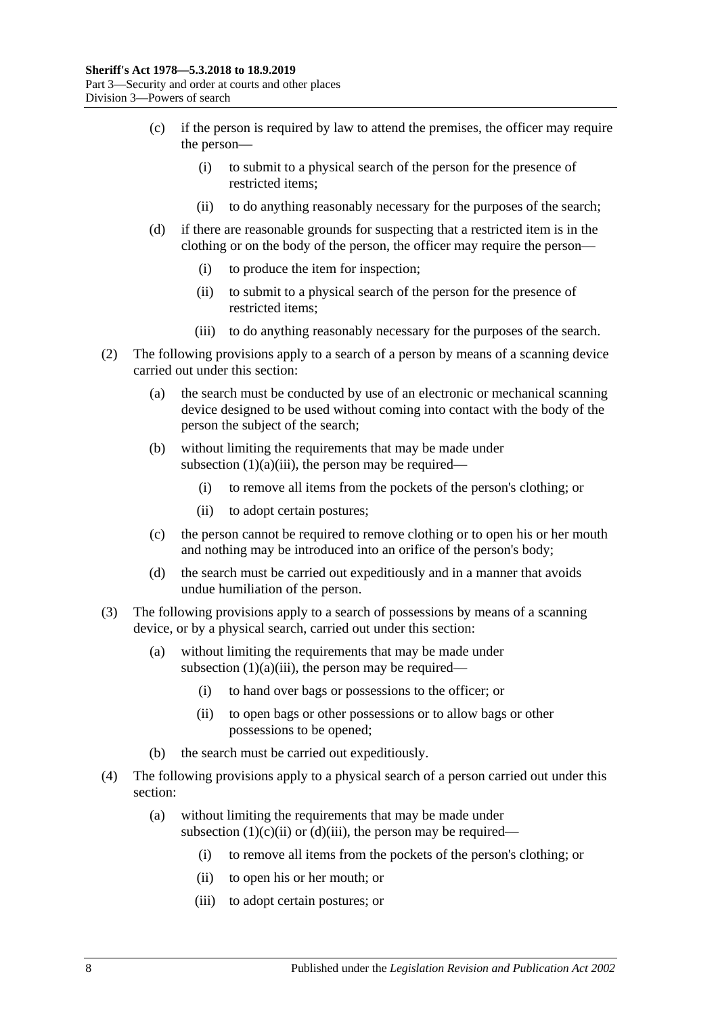- (c) if the person is required by law to attend the premises, the officer may require the person—
	- (i) to submit to a physical search of the person for the presence of restricted items;
	- (ii) to do anything reasonably necessary for the purposes of the search;
- <span id="page-7-0"></span>(d) if there are reasonable grounds for suspecting that a restricted item is in the clothing or on the body of the person, the officer may require the person—
	- (i) to produce the item for inspection;
	- (ii) to submit to a physical search of the person for the presence of restricted items;
	- (iii) to do anything reasonably necessary for the purposes of the search.
- <span id="page-7-1"></span>(2) The following provisions apply to a search of a person by means of a scanning device carried out under this section:
	- (a) the search must be conducted by use of an electronic or mechanical scanning device designed to be used without coming into contact with the body of the person the subject of the search;
	- (b) without limiting the requirements that may be made under [subsection](#page-6-3)  $(1)(a)(iii)$ , the person may be required—
		- (i) to remove all items from the pockets of the person's clothing; or
		- (ii) to adopt certain postures;
	- (c) the person cannot be required to remove clothing or to open his or her mouth and nothing may be introduced into an orifice of the person's body;
	- (d) the search must be carried out expeditiously and in a manner that avoids undue humiliation of the person.
- (3) The following provisions apply to a search of possessions by means of a scanning device, or by a physical search, carried out under this section:
	- (a) without limiting the requirements that may be made under [subsection](#page-6-3)  $(1)(a)(iii)$ , the person may be required—
		- (i) to hand over bags or possessions to the officer; or
		- (ii) to open bags or other possessions or to allow bags or other possessions to be opened;
	- (b) the search must be carried out expeditiously.
- (4) The following provisions apply to a physical search of a person carried out under this section:
	- (a) without limiting the requirements that may be made under [subsection](#page-7-0)  $(1)(c)(ii)$  or  $(d)(iii)$ , the person may be required—
		- (i) to remove all items from the pockets of the person's clothing; or
		- (ii) to open his or her mouth; or
		- (iii) to adopt certain postures; or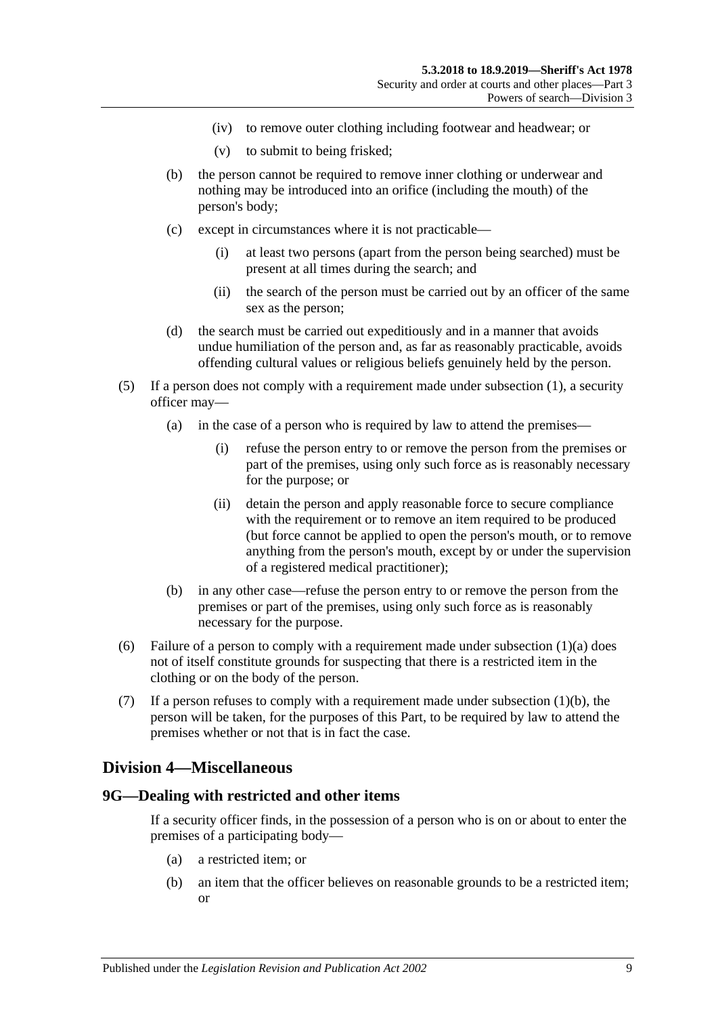- (iv) to remove outer clothing including footwear and headwear; or
- (v) to submit to being frisked;
- (b) the person cannot be required to remove inner clothing or underwear and nothing may be introduced into an orifice (including the mouth) of the person's body;
- (c) except in circumstances where it is not practicable—
	- (i) at least two persons (apart from the person being searched) must be present at all times during the search; and
	- (ii) the search of the person must be carried out by an officer of the same sex as the person;
- (d) the search must be carried out expeditiously and in a manner that avoids undue humiliation of the person and, as far as reasonably practicable, avoids offending cultural values or religious beliefs genuinely held by the person.
- (5) If a person does not comply with a requirement made under [subsection](#page-6-4) (1), a security officer may—
	- (a) in the case of a person who is required by law to attend the premises—
		- (i) refuse the person entry to or remove the person from the premises or part of the premises, using only such force as is reasonably necessary for the purpose; or
		- (ii) detain the person and apply reasonable force to secure compliance with the requirement or to remove an item required to be produced (but force cannot be applied to open the person's mouth, or to remove anything from the person's mouth, except by or under the supervision of a registered medical practitioner);
	- (b) in any other case—refuse the person entry to or remove the person from the premises or part of the premises, using only such force as is reasonably necessary for the purpose.
- (6) Failure of a person to comply with a requirement made under [subsection](#page-6-5)  $(1)(a)$  does not of itself constitute grounds for suspecting that there is a restricted item in the clothing or on the body of the person.
- (7) If a person refuses to comply with a requirement made under [subsection](#page-6-6) (1)(b), the person will be taken, for the purposes of this Part, to be required by law to attend the premises whether or not that is in fact the case.

#### <span id="page-8-0"></span>**Division 4—Miscellaneous**

#### <span id="page-8-2"></span><span id="page-8-1"></span>**9G—Dealing with restricted and other items**

If a security officer finds, in the possession of a person who is on or about to enter the premises of a participating body—

- (a) a restricted item; or
- <span id="page-8-3"></span>(b) an item that the officer believes on reasonable grounds to be a restricted item; or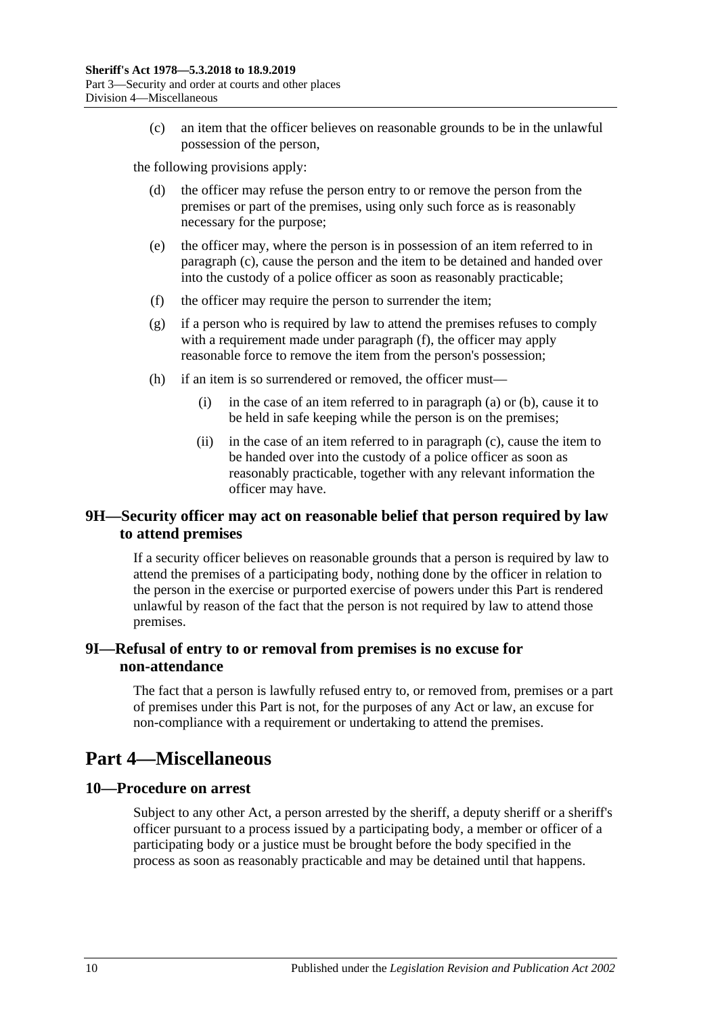(c) an item that the officer believes on reasonable grounds to be in the unlawful possession of the person,

<span id="page-9-4"></span>the following provisions apply:

- (d) the officer may refuse the person entry to or remove the person from the premises or part of the premises, using only such force as is reasonably necessary for the purpose;
- (e) the officer may, where the person is in possession of an item referred to in [paragraph](#page-9-4) (c), cause the person and the item to be detained and handed over into the custody of a police officer as soon as reasonably practicable;
- <span id="page-9-5"></span>(f) the officer may require the person to surrender the item;
- (g) if a person who is required by law to attend the premises refuses to comply with a requirement made under [paragraph](#page-9-5) (f), the officer may apply reasonable force to remove the item from the person's possession;
- (h) if an item is so surrendered or removed, the officer must—
	- (i) in the case of an item referred to in [paragraph](#page-8-2) (a) or [\(b\),](#page-8-3) cause it to be held in safe keeping while the person is on the premises;
	- (ii) in the case of an item referred to in [paragraph](#page-9-4) (c), cause the item to be handed over into the custody of a police officer as soon as reasonably practicable, together with any relevant information the officer may have.

#### <span id="page-9-0"></span>**9H—Security officer may act on reasonable belief that person required by law to attend premises**

If a security officer believes on reasonable grounds that a person is required by law to attend the premises of a participating body, nothing done by the officer in relation to the person in the exercise or purported exercise of powers under this Part is rendered unlawful by reason of the fact that the person is not required by law to attend those premises.

#### <span id="page-9-1"></span>**9I—Refusal of entry to or removal from premises is no excuse for non-attendance**

The fact that a person is lawfully refused entry to, or removed from, premises or a part of premises under this Part is not, for the purposes of any Act or law, an excuse for non-compliance with a requirement or undertaking to attend the premises.

# <span id="page-9-2"></span>**Part 4—Miscellaneous**

#### <span id="page-9-3"></span>**10—Procedure on arrest**

Subject to any other Act, a person arrested by the sheriff, a deputy sheriff or a sheriff's officer pursuant to a process issued by a participating body, a member or officer of a participating body or a justice must be brought before the body specified in the process as soon as reasonably practicable and may be detained until that happens.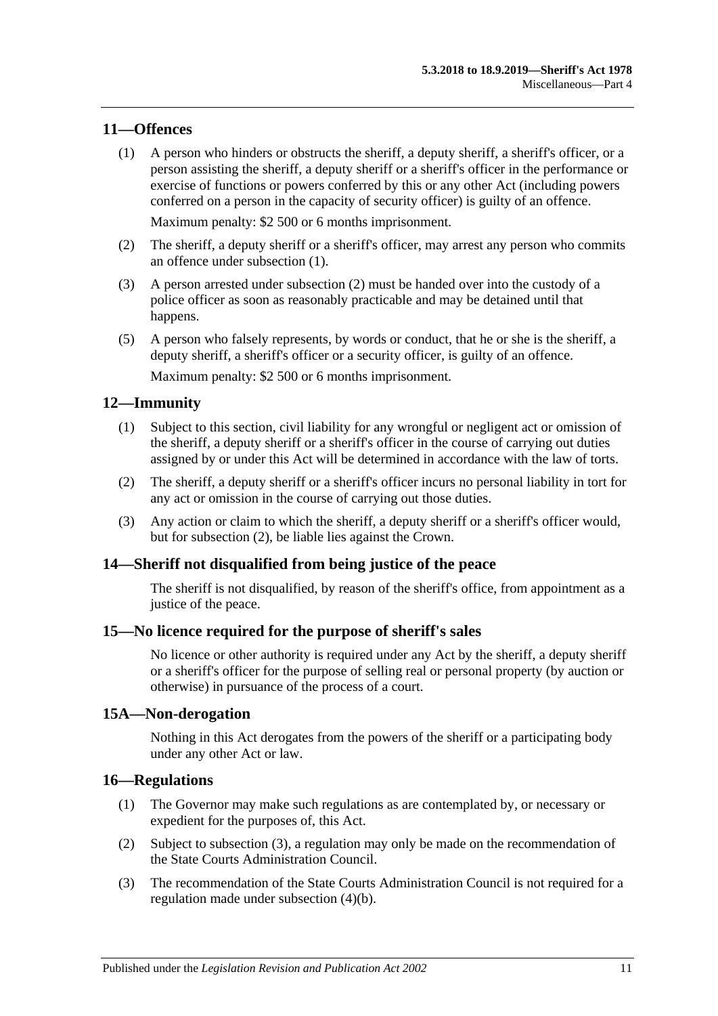#### <span id="page-10-6"></span><span id="page-10-0"></span>**11—Offences**

(1) A person who hinders or obstructs the sheriff, a deputy sheriff, a sheriff's officer, or a person assisting the sheriff, a deputy sheriff or a sheriff's officer in the performance or exercise of functions or powers conferred by this or any other Act (including powers conferred on a person in the capacity of security officer) is guilty of an offence.

Maximum penalty: \$2 500 or 6 months imprisonment.

- <span id="page-10-7"></span>(2) The sheriff, a deputy sheriff or a sheriff's officer, may arrest any person who commits an offence under [subsection](#page-10-6) (1).
- (3) A person arrested under [subsection](#page-10-7) (2) must be handed over into the custody of a police officer as soon as reasonably practicable and may be detained until that happens.
- (5) A person who falsely represents, by words or conduct, that he or she is the sheriff, a deputy sheriff, a sheriff's officer or a security officer, is guilty of an offence.

Maximum penalty: \$2 500 or 6 months imprisonment.

#### <span id="page-10-1"></span>**12—Immunity**

- (1) Subject to this section, civil liability for any wrongful or negligent act or omission of the sheriff, a deputy sheriff or a sheriff's officer in the course of carrying out duties assigned by or under this Act will be determined in accordance with the law of torts.
- <span id="page-10-8"></span>(2) The sheriff, a deputy sheriff or a sheriff's officer incurs no personal liability in tort for any act or omission in the course of carrying out those duties.
- (3) Any action or claim to which the sheriff, a deputy sheriff or a sheriff's officer would, but for [subsection](#page-10-8) (2), be liable lies against the Crown.

#### <span id="page-10-2"></span>**14—Sheriff not disqualified from being justice of the peace**

The sheriff is not disqualified, by reason of the sheriff's office, from appointment as a justice of the peace.

#### <span id="page-10-3"></span>**15—No licence required for the purpose of sheriff's sales**

No licence or other authority is required under any Act by the sheriff, a deputy sheriff or a sheriff's officer for the purpose of selling real or personal property (by auction or otherwise) in pursuance of the process of a court.

#### <span id="page-10-4"></span>**15A—Non-derogation**

Nothing in this Act derogates from the powers of the sheriff or a participating body under any other Act or law.

#### <span id="page-10-10"></span><span id="page-10-5"></span>**16—Regulations**

- (1) The Governor may make such regulations as are contemplated by, or necessary or expedient for the purposes of, this Act.
- (2) Subject to [subsection](#page-10-9) (3), a regulation may only be made on the recommendation of the State Courts Administration Council.
- <span id="page-10-9"></span>(3) The recommendation of the State Courts Administration Council is not required for a regulation made under [subsection](#page-11-0) (4)(b).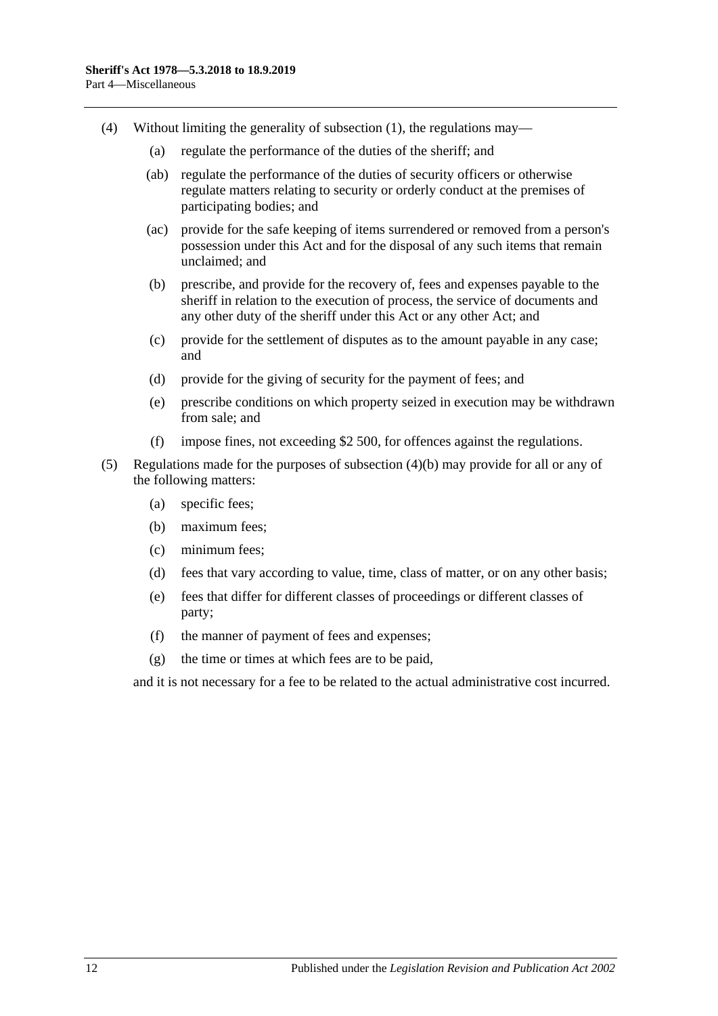- <span id="page-11-0"></span>(4) Without limiting the generality of [subsection](#page-10-10) (1), the regulations may—
	- (a) regulate the performance of the duties of the sheriff; and
	- (ab) regulate the performance of the duties of security officers or otherwise regulate matters relating to security or orderly conduct at the premises of participating bodies; and
	- (ac) provide for the safe keeping of items surrendered or removed from a person's possession under this Act and for the disposal of any such items that remain unclaimed; and
	- (b) prescribe, and provide for the recovery of, fees and expenses payable to the sheriff in relation to the execution of process, the service of documents and any other duty of the sheriff under this Act or any other Act; and
	- (c) provide for the settlement of disputes as to the amount payable in any case; and
	- (d) provide for the giving of security for the payment of fees; and
	- (e) prescribe conditions on which property seized in execution may be withdrawn from sale; and
	- (f) impose fines, not exceeding \$2 500, for offences against the regulations.
- (5) Regulations made for the purposes of [subsection](#page-11-0) (4)(b) may provide for all or any of the following matters:
	- (a) specific fees;
	- (b) maximum fees;
	- (c) minimum fees;
	- (d) fees that vary according to value, time, class of matter, or on any other basis;
	- (e) fees that differ for different classes of proceedings or different classes of party;
	- (f) the manner of payment of fees and expenses;
	- (g) the time or times at which fees are to be paid,

and it is not necessary for a fee to be related to the actual administrative cost incurred.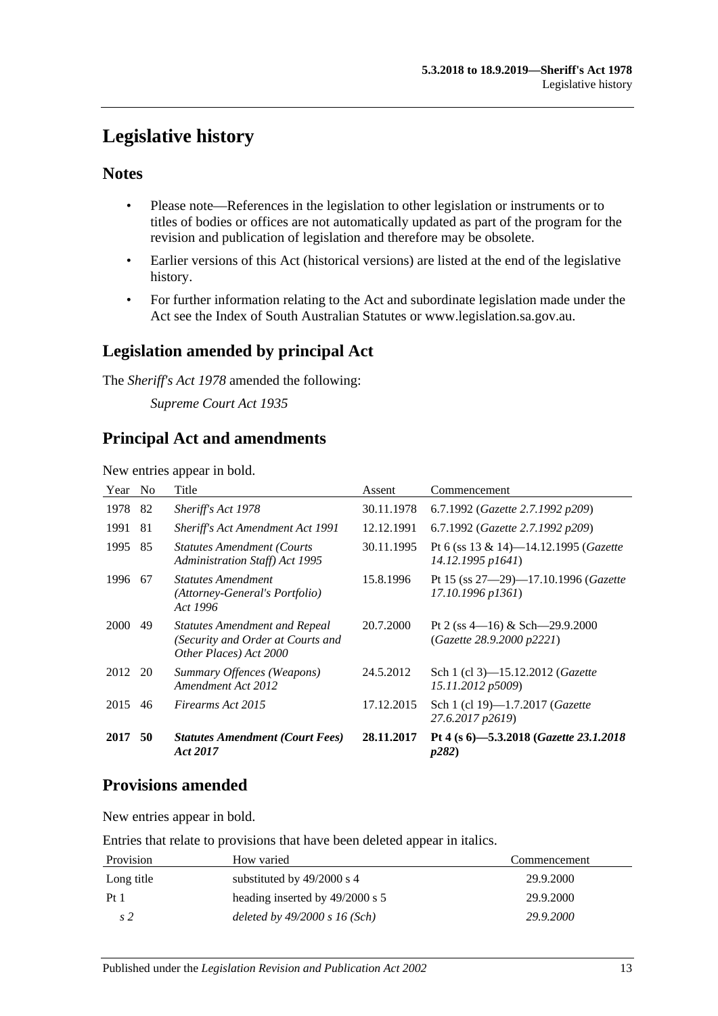# <span id="page-12-0"></span>**Legislative history**

### **Notes**

- Please note—References in the legislation to other legislation or instruments or to titles of bodies or offices are not automatically updated as part of the program for the revision and publication of legislation and therefore may be obsolete.
- Earlier versions of this Act (historical versions) are listed at the end of the legislative history.
- For further information relating to the Act and subordinate legislation made under the Act see the Index of South Australian Statutes or www.legislation.sa.gov.au.

# **Legislation amended by principal Act**

The *Sheriff's Act 1978* amended the following:

*Supreme Court Act 1935*

# **Principal Act and amendments**

New entries appear in bold.

| Year        | N <sub>0</sub> | Title                                                                                               | Assent     | Commencement                                                         |
|-------------|----------------|-----------------------------------------------------------------------------------------------------|------------|----------------------------------------------------------------------|
| 1978        | 82             | Sheriff's Act 1978                                                                                  | 30.11.1978 | 6.7.1992 (Gazette 2.7.1992 p209)                                     |
| 1991        | 81             | Sheriff's Act Amendment Act 1991                                                                    | 12.12.1991 | 6.7.1992 (Gazette 2.7.1992 p209)                                     |
| 1995        | 85             | <b>Statutes Amendment (Courts)</b><br><b>Administration Staff)</b> Act 1995                         | 30.11.1995 | Pt 6 (ss 13 & 14)-14.12.1995 ( <i>Gazette</i><br>14.12.1995 p1641)   |
| 1996        | 67             | <b>Statutes Amendment</b><br>(Attorney-General's Portfolio)<br>Act 1996                             | 15.8.1996  | Pt 15 (ss $27-29$ )-17.10.1996 ( <i>Gazette</i><br>17.10.1996 p1361) |
| <b>2000</b> | 49             | <b>Statutes Amendment and Repeal</b><br>(Security and Order at Courts and<br>Other Places) Act 2000 | 20.7.2000  | Pt 2 (ss $4-16$ ) & Sch $-29.9.2000$<br>(Gazette 28.9.2000 p2221)    |
| 2012        | 20             | Summary Offences (Weapons)<br>Amendment Act 2012                                                    | 24.5.2012  | Sch 1 (cl 3)-15.12.2012 ( <i>Gazette</i><br>15.11.2012 p5009)        |
| 2015        | 46             | Firearms Act 2015                                                                                   | 17.12.2015 | Sch 1 (cl 19)-1.7.2017 ( <i>Gazette</i><br>27.6.2017 p2619)          |
| 2017        | 50             | <b>Statutes Amendment (Court Fees)</b><br>Act 2017                                                  | 28.11.2017 | Pt 4 (s 6)-5.3.2018 (Gazette 23.1.2018<br>p282)                      |

# **Provisions amended**

New entries appear in bold.

Entries that relate to provisions that have been deleted appear in italics.

| Provision  | How varied                      | Commencement |
|------------|---------------------------------|--------------|
| Long title | substituted by $49/2000$ s 4    | 29.9.2000    |
| Pt1        | heading inserted by 49/2000 s 5 | 29.9.2000    |
| s 2        | deleted by $49/2000 s 16$ (Sch) | 29.9.2000    |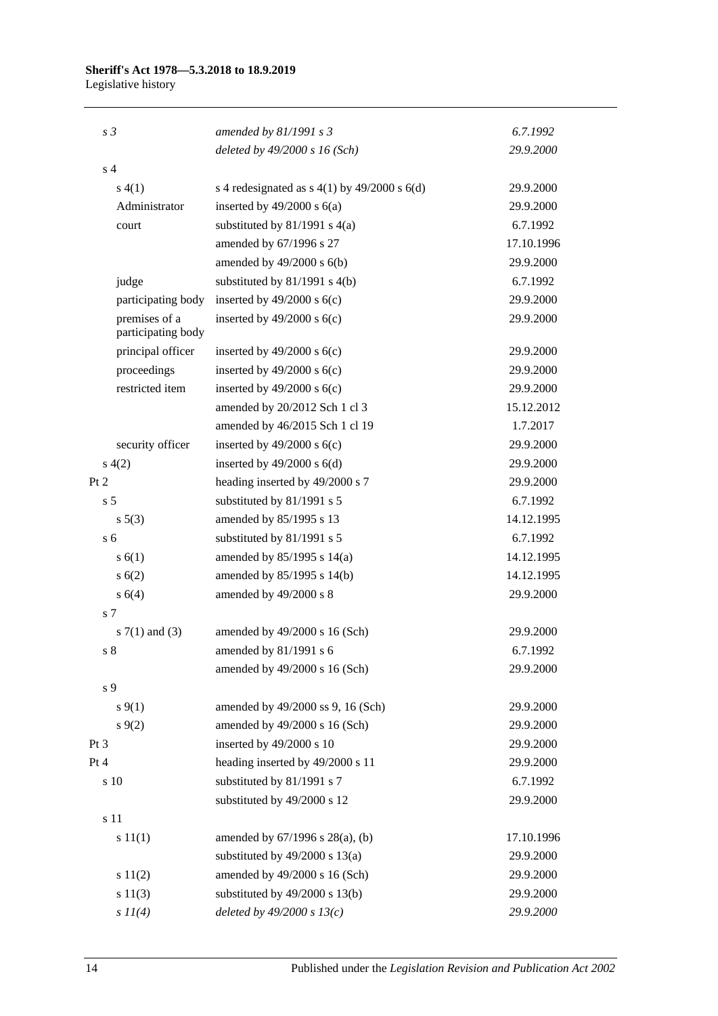#### **Sheriff's Act 1978—5.3.2018 to 18.9.2019**

Legislative history

| s <sub>3</sub>                      | amended by $81/1991 s3$                        | 6.7.1992   |
|-------------------------------------|------------------------------------------------|------------|
|                                     | deleted by $49/2000 s 16$ (Sch)                | 29.9.2000  |
| s <sub>4</sub>                      |                                                |            |
| s(4(1))                             | s 4 redesignated as $s$ 4(1) by 49/2000 s 6(d) | 29.9.2000  |
| Administrator                       | inserted by $49/2000$ s $6(a)$                 | 29.9.2000  |
| court                               | substituted by $81/1991$ s $4(a)$              | 6.7.1992   |
|                                     | amended by 67/1996 s 27                        | 17.10.1996 |
|                                     | amended by $49/2000$ s $6(b)$                  | 29.9.2000  |
| judge                               | substituted by $81/1991$ s $4(b)$              | 6.7.1992   |
| participating body                  | inserted by $49/2000$ s $6(c)$                 | 29.9.2000  |
| premises of a<br>participating body | inserted by $49/2000$ s $6(c)$                 | 29.9.2000  |
| principal officer                   | inserted by $49/2000$ s $6(c)$                 | 29.9.2000  |
| proceedings                         | inserted by $49/2000$ s $6(c)$                 | 29.9.2000  |
| restricted item                     | inserted by $49/2000$ s $6(c)$                 | 29.9.2000  |
|                                     | amended by 20/2012 Sch 1 cl 3                  | 15.12.2012 |
|                                     | amended by 46/2015 Sch 1 cl 19                 | 1.7.2017   |
| security officer                    | inserted by $49/2000$ s $6(c)$                 | 29.9.2000  |
| s(4(2)                              | inserted by $49/2000$ s $6(d)$                 | 29.9.2000  |
| Pt 2                                | heading inserted by 49/2000 s 7                | 29.9.2000  |
| s <sub>5</sub>                      | substituted by 81/1991 s 5                     | 6.7.1992   |
| $s\ 5(3)$                           | amended by 85/1995 s 13                        | 14.12.1995 |
| s <sub>6</sub>                      | substituted by 81/1991 s 5                     | 6.7.1992   |
| s(6(1))                             | amended by 85/1995 s 14(a)                     | 14.12.1995 |
| s(6(2))                             | amended by 85/1995 s 14(b)                     | 14.12.1995 |
| s 6(4)                              | amended by 49/2000 s 8                         | 29.9.2000  |
| s <sub>7</sub>                      |                                                |            |
| s $7(1)$ and $(3)$                  | amended by 49/2000 s 16 (Sch)                  | 29.9.2000  |
| s <sub>8</sub>                      | amended by 81/1991 s 6                         | 6.7.1992   |
|                                     | amended by 49/2000 s 16 (Sch)                  | 29.9.2000  |
| s 9                                 |                                                |            |
| $s \, 9(1)$                         | amended by 49/2000 ss 9, 16 (Sch)              | 29.9.2000  |
| $s \, 9(2)$                         | amended by 49/2000 s 16 (Sch)                  | 29.9.2000  |
| Pt <sub>3</sub>                     | inserted by 49/2000 s 10                       | 29.9.2000  |
| Pt 4                                | heading inserted by 49/2000 s 11               | 29.9.2000  |
| s 10                                | substituted by 81/1991 s 7                     | 6.7.1992   |
|                                     | substituted by 49/2000 s 12                    | 29.9.2000  |
| s 11                                |                                                |            |
| s 11(1)                             | amended by 67/1996 s 28(a), (b)                | 17.10.1996 |
|                                     | substituted by $49/2000$ s $13(a)$             | 29.9.2000  |
| s 11(2)                             | amended by 49/2000 s 16 (Sch)                  | 29.9.2000  |
| s 11(3)                             | substituted by $49/2000$ s $13(b)$             | 29.9.2000  |
| $s$ $11(4)$                         | deleted by $49/2000 s 13(c)$                   | 29.9.2000  |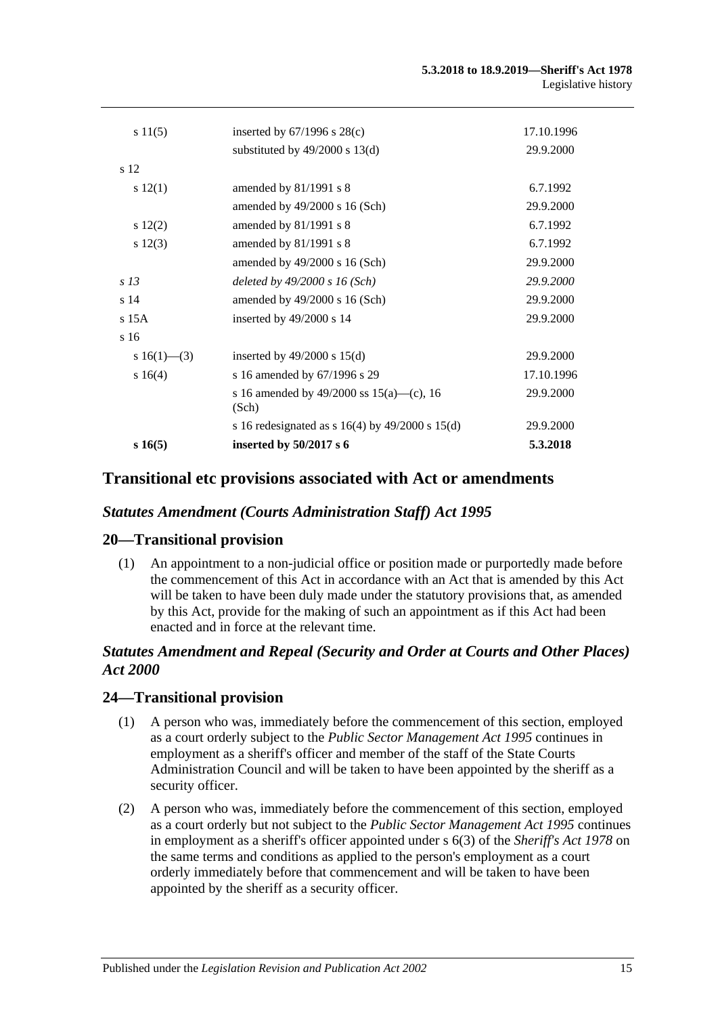| s16(5)          | inserted by 50/2017 s 6                               | 5.3.2018   |
|-----------------|-------------------------------------------------------|------------|
|                 | s 16 redesignated as s $16(4)$ by $49/2000$ s $15(d)$ | 29.9.2000  |
|                 | s 16 amended by 49/2000 ss $15(a)$ —(c), 16<br>(Sch)  | 29.9.2000  |
| s16(4)          | s 16 amended by 67/1996 s 29                          | 17.10.1996 |
| s 16(1)–(3)     | inserted by $49/2000$ s $15(d)$                       | 29.9.2000  |
| s <sub>16</sub> |                                                       |            |
| s 15A           | inserted by $49/2000$ s 14                            | 29.9.2000  |
| s <sub>14</sub> | amended by $49/2000$ s 16 (Sch)                       | 29.9.2000  |
| s 13            | deleted by $49/2000 s 16$ (Sch)                       | 29.9.2000  |
|                 | amended by $49/2000$ s 16 (Sch)                       | 29.9.2000  |
| $s\ 12(3)$      | amended by 81/1991 s 8                                | 6.7.1992   |
| $s\ 12(2)$      | amended by 81/1991 s 8                                | 6.7.1992   |
|                 | amended by 49/2000 s 16 (Sch)                         | 29.9.2000  |
| s 12(1)         | amended by $81/1991$ s 8                              | 6.7.1992   |
| s 12            |                                                       |            |
|                 | substituted by $49/2000$ s $13(d)$                    | 29.9.2000  |
| s11(5)          | inserted by $67/1996$ s $28(c)$                       | 17.10.1996 |
|                 |                                                       |            |

### **Transitional etc provisions associated with Act or amendments**

#### *Statutes Amendment (Courts Administration Staff) Act 1995*

#### **20—Transitional provision**

(1) An appointment to a non-judicial office or position made or purportedly made before the commencement of this Act in accordance with an Act that is amended by this Act will be taken to have been duly made under the statutory provisions that, as amended by this Act, provide for the making of such an appointment as if this Act had been enacted and in force at the relevant time.

#### *Statutes Amendment and Repeal (Security and Order at Courts and Other Places) Act 2000*

#### **24—Transitional provision**

- (1) A person who was, immediately before the commencement of this section, employed as a court orderly subject to the *[Public Sector Management Act](http://www.legislation.sa.gov.au/index.aspx?action=legref&type=act&legtitle=Public%20Sector%20Management%20Act%201995) 1995* continues in employment as a sheriff's officer and member of the staff of the State Courts Administration Council and will be taken to have been appointed by the sheriff as a security officer.
- (2) A person who was, immediately before the commencement of this section, employed as a court orderly but not subject to the *[Public Sector Management Act](http://www.legislation.sa.gov.au/index.aspx?action=legref&type=act&legtitle=Public%20Sector%20Management%20Act%201995) 1995* continues in employment as a sheriff's officer appointed under s 6(3) of the *[Sheriff's Act](http://www.legislation.sa.gov.au/index.aspx?action=legref&type=act&legtitle=Sheriffs%20Act%201978) 1978* on the same terms and conditions as applied to the person's employment as a court orderly immediately before that commencement and will be taken to have been appointed by the sheriff as a security officer.